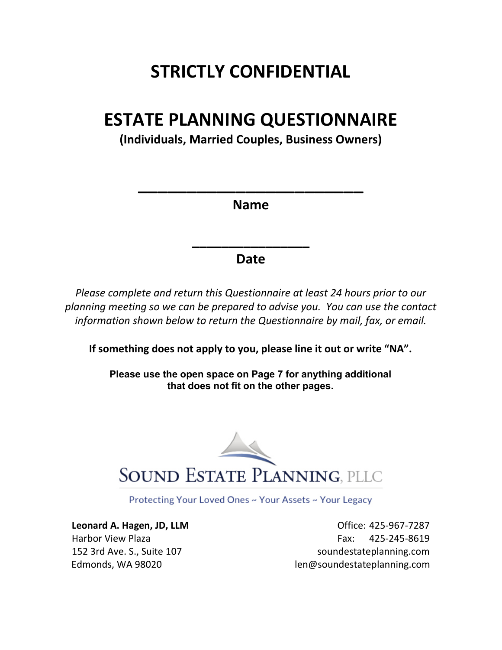# **STRICTLY CONFIDENTIAL**

# **ESTATE PLANNING QUESTIONNAIRE**

**(Individuals, Married Couples, Business Owners)**

**Name** 

**\_\_\_\_\_\_\_\_\_\_\_\_\_\_\_\_\_\_\_\_\_\_\_**

### **Date**

**\_\_\_\_\_\_\_\_\_\_\_\_\_\_\_\_**

*Please complete and return this Questionnaire at least 24 hours prior to our planning meeting so we can be prepared to advise you. You can use the contact information shown below to return the Questionnaire by mail, fax, or email.*

**If something does not apply to you, please line it out or write "NA".** 

**Please use the open space on Page 7 for anything additional that does not fit on the other pages.** 



Protecting Your Loved Ones ~ Your Assets ~ Your Legacy

**Leonard A. Hagen, JD, LLM COMPRESS 2008 125-967-7287** Harbor View Plaza Fax: 425-245-8619 152 3rd Ave. S., Suite 107 soundestateplanning.com Edmonds, WA 98020 len@soundestateplanning.com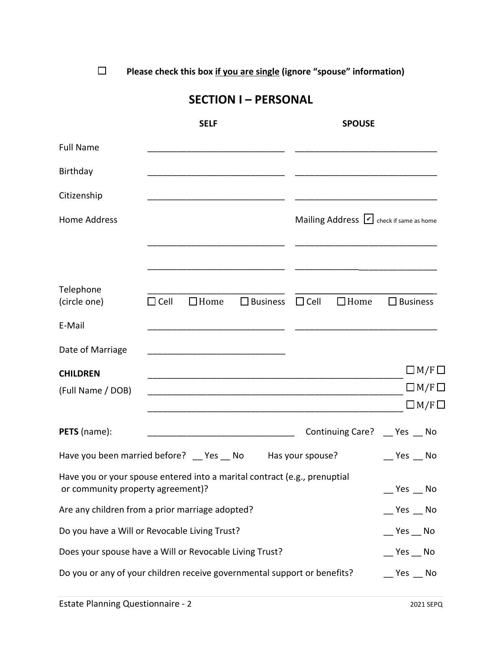**□ Please check this box if you are single (ignore "spouse" information)**

### **SECTION I – PERSONAL**

|                                                                                                                |                                                                                    | <b>SELF</b> |                                                                                                                      |                  | <b>SPOUSE</b>  |                                                         |
|----------------------------------------------------------------------------------------------------------------|------------------------------------------------------------------------------------|-------------|----------------------------------------------------------------------------------------------------------------------|------------------|----------------|---------------------------------------------------------|
| <b>Full Name</b>                                                                                               |                                                                                    |             |                                                                                                                      |                  |                |                                                         |
| Birthday                                                                                                       |                                                                                    |             |                                                                                                                      |                  |                |                                                         |
| Citizenship                                                                                                    |                                                                                    |             |                                                                                                                      |                  |                |                                                         |
| <b>Home Address</b>                                                                                            |                                                                                    |             |                                                                                                                      |                  |                | Mailing Address $\vert \nu \vert$ check if same as home |
|                                                                                                                |                                                                                    |             |                                                                                                                      |                  |                |                                                         |
| Telephone<br>(circle one)                                                                                      | $\Box$ Cell                                                                        | $\Box$ Home | $\Box$ Business                                                                                                      | $\Box$ Cell      | $\square$ Home | $\square$ Business                                      |
| E-Mail                                                                                                         |                                                                                    |             |                                                                                                                      |                  |                |                                                         |
| Date of Marriage                                                                                               |                                                                                    |             |                                                                                                                      |                  |                |                                                         |
| <b>CHILDREN</b>                                                                                                |                                                                                    |             |                                                                                                                      |                  |                | $\Box$ M/F $\Box$                                       |
| (Full Name / DOB)                                                                                              |                                                                                    |             |                                                                                                                      |                  |                | $\Box M/F \Box$                                         |
|                                                                                                                |                                                                                    |             |                                                                                                                      |                  |                | $\Box M/F \Box$                                         |
| PETS (name):                                                                                                   |                                                                                    |             | <u> 1980 - Jan James James James James James James James James James James James James James James James James J</u> |                  |                | Continuing Care? __ Yes __ No                           |
| Have you been married before? __ Yes __ No                                                                     |                                                                                    |             |                                                                                                                      | Has your spouse? |                | $Yes$ No                                                |
| Have you or your spouse entered into a marital contract (e.g., prenuptial<br>or community property agreement)? |                                                                                    |             |                                                                                                                      |                  |                |                                                         |
| Are any children from a prior marriage adopted?                                                                |                                                                                    |             |                                                                                                                      |                  |                | $Yes$ No                                                |
| Do you have a Will or Revocable Living Trust?                                                                  |                                                                                    |             |                                                                                                                      |                  |                | $\mathbb{C}$ Yes $\mathbb{C}$ No                        |
| Does your spouse have a Will or Revocable Living Trust?                                                        |                                                                                    |             |                                                                                                                      |                  |                | Yes No                                                  |
|                                                                                                                | Do you or any of your children receive governmental support or benefits?<br>Yes No |             |                                                                                                                      |                  |                |                                                         |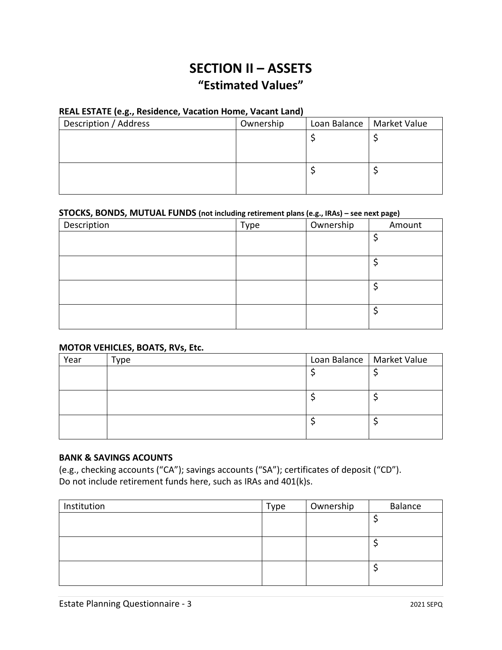## **SECTION II – ASSETS "Estimated Values"**

### **REAL ESTATE (e.g., Residence, Vacation Home, Vacant Land)**

| Description / Address                                              | Ownership | Loan Balance | Market Value |
|--------------------------------------------------------------------|-----------|--------------|--------------|
| li.e. Vacation Home - 123 Your Street<br>Ln, City, State, Zip Code |           |              |              |
|                                                                    |           |              |              |

#### **STOCKS, BONDS, MUTUAL FUNDS (not including retirement plans (e.g., IRAs) – see next page)**

| Description | Type | Ownership | Amount |
|-------------|------|-----------|--------|
|             |      |           |        |
|             |      |           |        |
|             |      |           |        |
|             |      |           |        |
|             |      |           |        |
|             |      |           |        |
|             |      |           |        |
|             |      |           |        |

### **MOTOR VEHICLES, BOATS, RVs, Etc.**

| Year | Туре | Loan Balance   Market Value |
|------|------|-----------------------------|
|      |      |                             |
|      |      |                             |
|      |      |                             |
|      |      |                             |
|      |      |                             |
|      |      |                             |

### **BANK & SAVINGS ACOUNTS**

(e.g., checking accounts ("CA"); savings accounts ("SA"); certificates of deposit ("CD"). Do not include retirement funds here, such as IRAs and 401(k)s.

| Institution | Type | Ownership | Balance |
|-------------|------|-----------|---------|
|             |      |           |         |
|             |      |           |         |
|             |      |           |         |
|             |      |           |         |
|             |      |           |         |
|             |      |           |         |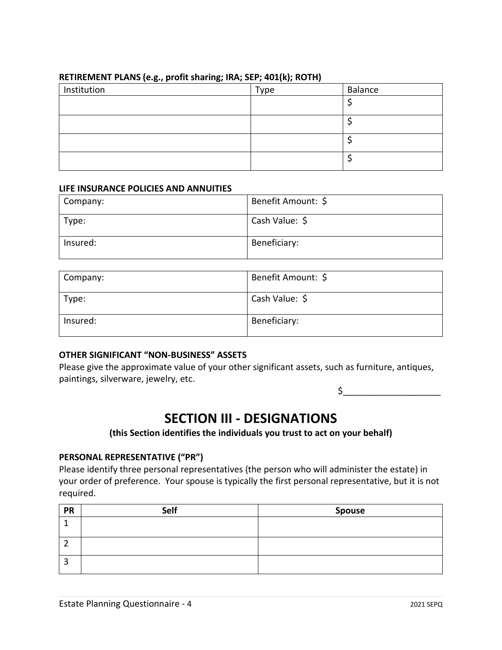| Institution | Type | Balance |  |  |
|-------------|------|---------|--|--|
|             |      |         |  |  |
|             |      |         |  |  |
|             |      |         |  |  |
|             |      |         |  |  |

### **RETIREMENT PLANS (e.g., profit sharing; IRA; SEP; 401(k); ROTH)**

#### **LIFE INSURANCE POLICIES AND ANNUITIES**

| Company: | Benefit Amount: \$ |
|----------|--------------------|
| Type:    | Cash Value: \$     |
| Insured: | Beneficiary:       |

| Company: | Benefit Amount: \$ |
|----------|--------------------|
| Type:    | Cash Value: \$     |
| Insured: | Beneficiary:       |

### **OTHER SIGNIFICANT "NON-BUSINESS" ASSETS**

Please give the approximate value of your other significant assets, such as furniture, antiques, paintings, silverware, jewelry, etc.

 $\zeta$ 

### **SECTION III - DESIGNATIONS**

### **(this Section identifies the individuals you trust to act on your behalf)**

### **PERSONAL REPRESENTATIVE ("PR")**

Please identify three personal representatives (the person who will administer the estate) in your order of preference. Your spouse is typically the first personal representative, but it is not required.

| <b>PR</b> | Self | Spouse |
|-----------|------|--------|
|           |      |        |
|           |      |        |
|           |      |        |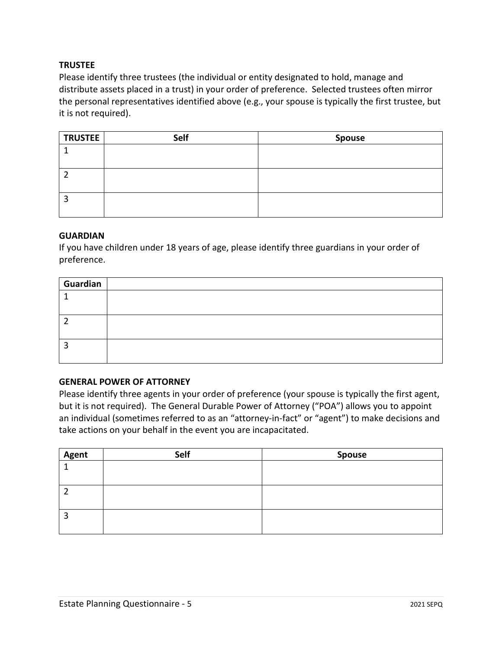### **TRUSTEE**

Please identify three trustees (the individual or entity designated to hold, manage and distribute assets placed in a trust) in your order of preference. Selected trustees often mirror the personal representatives identified above (e.g., your spouse is typically the first trustee, but it is not required).

| <b>TRUSTEE</b> | Self | <b>Spouse</b> |
|----------------|------|---------------|
|                |      |               |
|                |      |               |
|                |      |               |
|                |      |               |
| ∍<br>э         |      |               |
|                |      |               |

#### **GUARDIAN**

If you have children under 18 years of age, please identify three guardians in your order of preference.

| Guardian |  |
|----------|--|
|          |  |
|          |  |
|          |  |
|          |  |
|          |  |
|          |  |

### **GENERAL POWER OF ATTORNEY**

Please identify three agents in your order of preference (your spouse is typically the first agent, but it is not required). The General Durable Power of Attorney ("POA") allows you to appoint an individual (sometimes referred to as an "attorney-in-fact" or "agent") to make decisions and take actions on your behalf in the event you are incapacitated.

| <b>Agent</b> | Self | <b>Spouse</b> |
|--------------|------|---------------|
|              |      |               |
|              |      |               |
|              |      |               |
|              |      |               |
|              |      |               |
|              |      |               |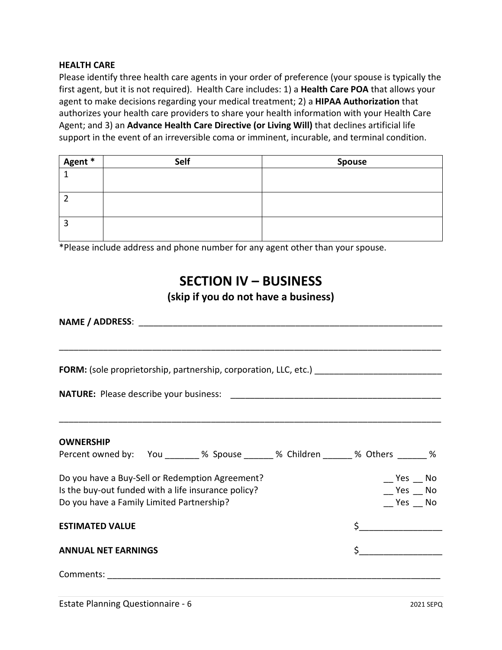### **HEALTH CARE**

Please identify three health care agents in your order of preference (your spouse is typically the first agent, but it is not required). Health Care includes: 1) a **Health Care POA** that allows your agent to make decisions regarding your medical treatment; 2) a **HIPAA Authorization** that authorizes your health care providers to share your health information with your Health Care Agent; and 3) an **Advance Health Care Directive (or Living Will)** that declines artificial life support in the event of an irreversible coma or imminent, incurable, and terminal condition.

| Agent * | Self | <b>Spouse</b> |
|---------|------|---------------|
|         |      |               |
|         |      |               |
|         |      |               |
|         |      |               |
| э       |      |               |
|         |      |               |

\*Please include address and phone number for any agent other than your spouse.

## **SECTION IV – BUSINESS**

### **(skip if you do not have a business)**

| FORM: (sole proprietorship, partnership, corporation, LLC, etc.) ___________________________________                                                |                                                          |  |  |
|-----------------------------------------------------------------------------------------------------------------------------------------------------|----------------------------------------------------------|--|--|
|                                                                                                                                                     |                                                          |  |  |
| <b>OWNERSHIP</b>                                                                                                                                    |                                                          |  |  |
| Percent owned by: You _______ % Spouse ______ % Children ______ % Others ______ %                                                                   |                                                          |  |  |
| Do you have a Buy-Sell or Redemption Agreement?<br>Is the buy-out funded with a life insurance policy?<br>Do you have a Family Limited Partnership? | $\mathcal{L}$ Yes $\mathcal{L}$ No<br>$Yes$ No<br>Yes No |  |  |
| <b>ESTIMATED VALUE</b>                                                                                                                              |                                                          |  |  |
| <b>ANNUAL NET EARNINGS</b>                                                                                                                          | $\sharp$                                                 |  |  |
|                                                                                                                                                     |                                                          |  |  |